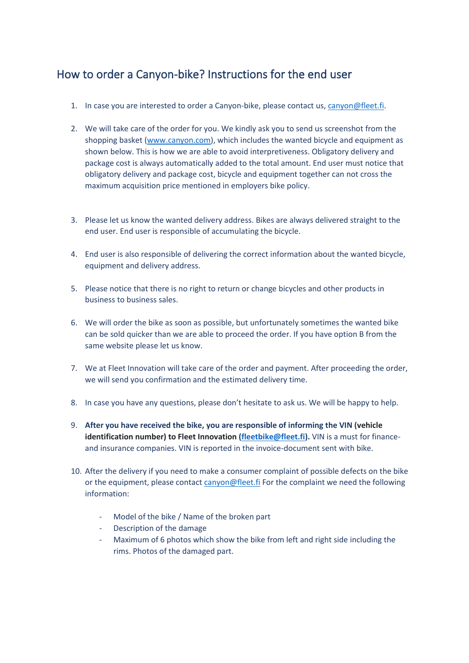## How to order a Canyon-bike? Instructions for the end user

- 1. In case you are interested to order a Canyon-bike, please contact us, [canyon@fleet.fi.](mailto:canyon@fleet.fi)
- 2. We will take care of the order for you. We kindly ask you to send us screenshot from the shopping basket [\(www.canyon.com\)](http://www.canyon.com/), which includes the wanted bicycle and equipment as shown below. This is how we are able to avoid interpretiveness. Obligatory delivery and package cost is always automatically added to the total amount. End user must notice that obligatory delivery and package cost, bicycle and equipment together can not cross the maximum acquisition price mentioned in employers bike policy.
- 3. Please let us know the wanted delivery address. Bikes are always delivered straight to the end user. End user is responsible of accumulating the bicycle.
- 4. End user is also responsible of delivering the correct information about the wanted bicycle, equipment and delivery address.
- 5. Please notice that there is no right to return or change bicycles and other products in business to business sales.
- 6. We will order the bike as soon as possible, but unfortunately sometimes the wanted bike can be sold quicker than we are able to proceed the order. If you have option B from the same website please let us know.
- 7. We at Fleet Innovation will take care of the order and payment. After proceeding the order, we will send you confirmation and the estimated delivery time.
- 8. In case you have any questions, please don't hesitate to ask us. We will be happy to help.
- 9. **After you have received the bike, you are responsible of informing the VIN (vehicle identification number) to Fleet Innovation [\(fleetbike@fleet.fi\)](mailto:fleetbike@fleet.fi).** VIN is a must for financeand insurance companies. VIN is reported in the invoice-document sent with bike.
- 10. After the delivery if you need to make a consumer complaint of possible defects on the bike or the equipment, please contact [canyon@fleet.fi](mailto:canyon@fleet.fi) For the complaint we need the following information:
	- Model of the bike / Name of the broken part
	- Description of the damage
	- Maximum of 6 photos which show the bike from left and right side including the rims. Photos of the damaged part.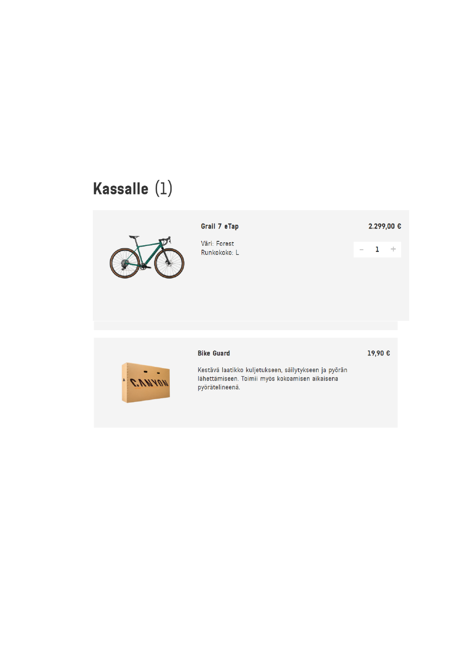# Kassalle (1)



#### Grail 7 eTap

Väri: Forest Runkokoko: L

**Bike Guard** 

pyörätelineenä.

#### 2.299,00 €

 $\mathbf{1}^ \rightarrow$ 



Kestävä laatikko kuljetukseen, säilytykseen ja pyörän lähettämiseen. Toimii myös kokoamisen aikaisena

19,90€